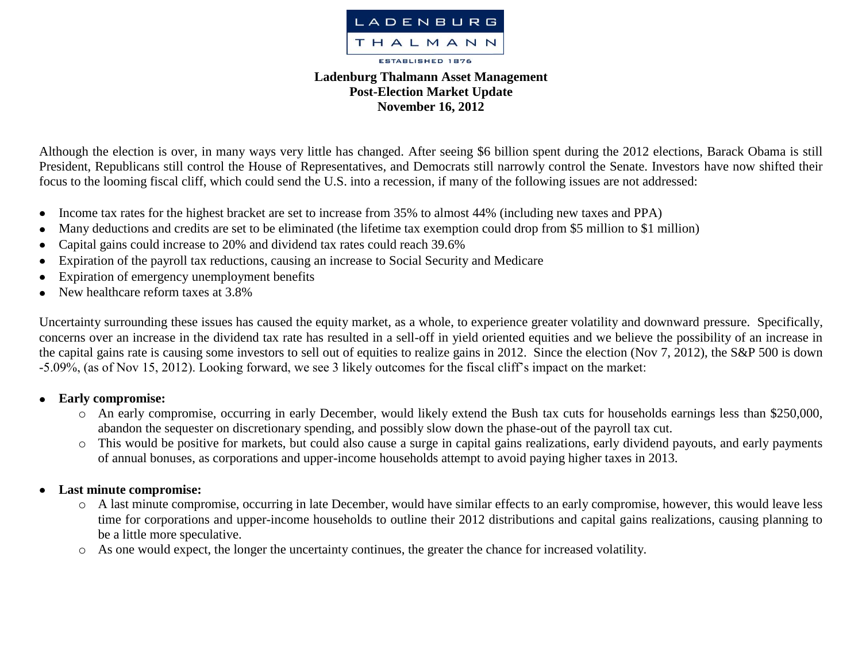

## **Ladenburg Thalmann Asset Management Post-Election Market Update November 16, 2012**

Although the election is over, in many ways very little has changed. After seeing \$6 billion spent during the 2012 elections, Barack Obama is still President, Republicans still control the House of Representatives, and Democrats still narrowly control the Senate. Investors have now shifted their focus to the looming fiscal cliff, which could send the U.S. into a recession, if many of the following issues are not addressed:

- Income tax rates for the highest bracket are set to increase from 35% to almost 44% (including new taxes and PPA)  $\bullet$
- Many deductions and credits are set to be eliminated (the lifetime tax exemption could drop from \$5 million to \$1 million)  $\bullet$
- Capital gains could increase to 20% and dividend tax rates could reach 39.6%  $\bullet$
- Expiration of the payroll tax reductions, causing an increase to Social Security and Medicare  $\bullet$
- Expiration of emergency unemployment benefits  $\bullet$
- New healthcare reform taxes at 3.8%  $\bullet$

Uncertainty surrounding these issues has caused the equity market, as a whole, to experience greater volatility and downward pressure. Specifically, concerns over an increase in the dividend tax rate has resulted in a sell-off in yield oriented equities and we believe the possibility of an increase in the capital gains rate is causing some investors to sell out of equities to realize gains in 2012. Since the election (Nov 7, 2012), the S&P 500 is down -5.09%, (as of Nov 15, 2012). Looking forward, we see 3 likely outcomes for the fiscal cliff's impact on the market:

## **Early compromise:**   $\bullet$

- o An early compromise, occurring in early December, would likely extend the Bush tax cuts for households earnings less than \$250,000, abandon the sequester on discretionary spending, and possibly slow down the phase-out of the payroll tax cut.
- o This would be positive for markets, but could also cause a surge in capital gains realizations, early dividend payouts, and early payments of annual bonuses, as corporations and upper-income households attempt to avoid paying higher taxes in 2013.

## **Last minute compromise:**   $\bullet$

- o A last minute compromise, occurring in late December, would have similar effects to an early compromise, however, this would leave less time for corporations and upper-income households to outline their 2012 distributions and capital gains realizations, causing planning to be a little more speculative.
- o As one would expect, the longer the uncertainty continues, the greater the chance for increased volatility.